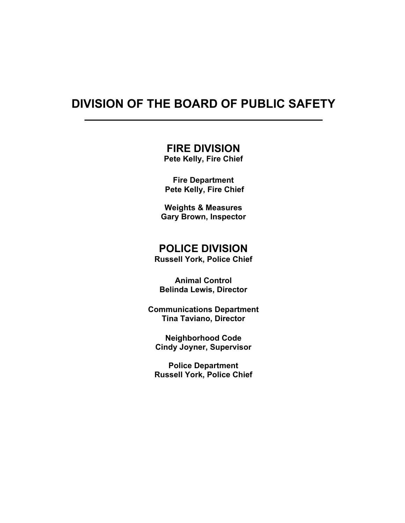## DIVISION OF THE BOARD OF PUBLIC SAFETY

 $\ddot{\phantom{a}}$ 

### FIRE DIVISION

Pete Kelly, Fire Chief

Fire Department Pete Kelly, Fire Chief

 Weights & Measures Gary Brown, Inspector

### POLICE DIVISION

Russell York, Police Chief

Animal Control Belinda Lewis, Director

Communications Department Tina Taviano, Director

Neighborhood Code Cindy Joyner, Supervisor

Police Department Russell York, Police Chief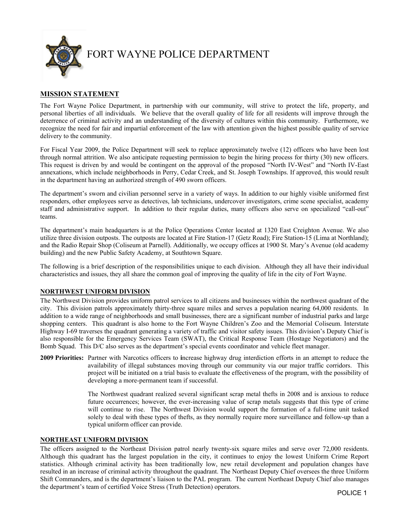

#### MISSION STATEMENT

The Fort Wayne Police Department, in partnership with our community, will strive to protect the life, property, and personal liberties of all individuals. We believe that the overall quality of life for all residents will improve through the deterrence of criminal activity and an understanding of the diversity of cultures within this community. Furthermore, we recognize the need for fair and impartial enforcement of the law with attention given the highest possible quality of service delivery to the community.

For Fiscal Year 2009, the Police Department will seek to replace approximately twelve (12) officers who have been lost through normal attrition. We also anticipate requesting permission to begin the hiring process for thirty (30) new officers. This request is driven by and would be contingent on the approval of the proposed "North IV-West" and "North IV-East annexations, which include neighborhoods in Perry, Cedar Creek, and St. Joseph Townships. If approved, this would result in the department having an authorized strength of 490 sworn officers.

The department's sworn and civilian personnel serve in a variety of ways. In addition to our highly visible uniformed first responders, other employees serve as detectives, lab technicians, undercover investigators, crime scene specialist, academy staff and administrative support. In addition to their regular duties, many officers also serve on specialized "call-out" teams.

The department's main headquarters is at the Police Operations Center located at 1320 East Creighton Avenue. We also utilize three division outposts. The outposts are located at Fire Station-17 (Getz Road); Fire Station-15 (Lima at Northland); and the Radio Repair Shop (Coliseum at Parnell). Additionally, we occupy offices at 1900 St. Mary's Avenue (old academy building) and the new Public Safety Academy, at Southtown Square.

The following is a brief description of the responsibilities unique to each division. Although they all have their individual characteristics and issues, they all share the common goal of improving the quality of life in the city of Fort Wayne.

#### NORTHWEST UNIFORM DIVISION

The Northwest Division provides uniform patrol services to all citizens and businesses within the northwest quadrant of the city. This division patrols approximately thirty-three square miles and serves a population nearing 64,000 residents. In addition to a wide range of neighborhoods and small businesses, there are a significant number of industrial parks and large shopping centers. This quadrant is also home to the Fort Wayne Children's Zoo and the Memorial Coliseum. Interstate Highway I-69 traverses the quadrant generating a variety of traffic and visitor safety issues. This division's Deputy Chief is also responsible for the Emergency Services Team (SWAT), the Critical Response Team (Hostage Negotiators) and the Bomb Squad. This D/C also serves as the department's special events coordinator and vehicle fleet manager.

2009 Priorities: Partner with Narcotics officers to increase highway drug interdiction efforts in an attempt to reduce the availability of illegal substances moving through our community via our major traffic corridors. This project will be initiated on a trial basis to evaluate the effectiveness of the program, with the possibility of developing a more-permanent team if successful.

> The Northwest quadrant realized several significant scrap metal thefts in 2008 and is anxious to reduce future occurrences; however, the ever-increasing value of scrap metals suggests that this type of crime will continue to rise. The Northwest Division would support the formation of a full-time unit tasked solely to deal with these types of thefts, as they normally require more surveillance and follow-up than a typical uniform officer can provide.

#### NORTHEAST UNIFORM DIVISION

The officers assigned to the Northeast Division patrol nearly twenty-six square miles and serve over 72,000 residents. Although this quadrant has the largest population in the city, it continues to enjoy the lowest Uniform Crime Report statistics. Although criminal activity has been traditionally low, new retail development and population changes have resulted in an increase of criminal activity throughout the quadrant. The Northeast Deputy Chief oversees the three Uniform Shift Commanders, and is the department's liaison to the PAL program. The current Northeast Deputy Chief also manages the department's team of certified Voice Stress (Truth Detection) operators.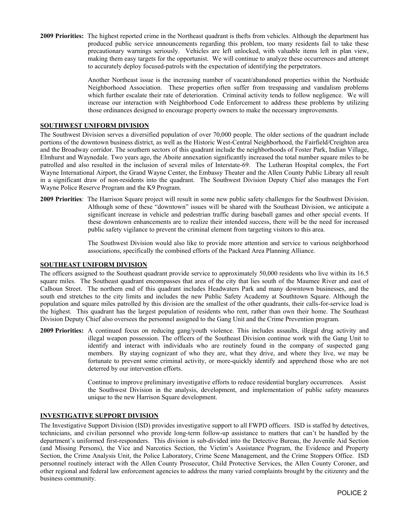2009 Priorities: The highest reported crime in the Northeast quadrant is thefts from vehicles. Although the department has produced public service announcements regarding this problem, too many residents fail to take these precautionary warnings seriously. Vehicles are left unlocked, with valuable items left in plan view, making them easy targets for the opportunist. We will continue to analyze these occurrences and attempt to accurately deploy focused-patrols with the expectation of identifying the perpetrators.

> Another Northeast issue is the increasing number of vacant/abandoned properties within the Northside Neighborhood Association. These properties often suffer from trespassing and vandalism problems which further escalate their rate of deterioration. Criminal activity tends to follow negligence. We will increase our interaction with Neighborhood Code Enforcement to address these problems by utilizing those ordinances designed to encourage property owners to make the necessary improvements.

#### SOUTHWEST UNIFORM DIVISION

The Southwest Division serves a diversified population of over 70,000 people. The older sections of the quadrant include portions of the downtown business district, as well as the Historic West-Central Neighborhood, the Fairfield/Creighton area and the Broadway corridor. The southern sectors of this quadrant include the neighborhoods of Foster Park, Indian Village, Elmhurst and Waynedale. Two years ago, the Aboite annexation significantly increased the total number square miles to be patrolled and also resulted in the inclusion of several miles of Interstate-69. The Lutheran Hospital complex, the Fort Wayne International Airport, the Grand Wayne Center, the Embassy Theater and the Allen County Public Library all result in a significant draw of non-residents into the quadrant. The Southwest Division Deputy Chief also manages the Fort Wayne Police Reserve Program and the K9 Program.

2009 Priorities: The Harrison Square project will result in some new public safety challenges for the Southwest Division. Although some of these "downtown" issues will be shared with the Southeast Division, we anticipate a significant increase in vehicle and pedestrian traffic during baseball games and other special events. If these downtown enhancements are to realize their intended success, there will be the need for increased public safety vigilance to prevent the criminal element from targeting visitors to this area.

> The Southwest Division would also like to provide more attention and service to various neighborhood associations, specifically the combined efforts of the Packard Area Planning Alliance.

#### SOUTHEAST UNIFORM DIVISION

The officers assigned to the Southeast quadrant provide service to approximately 50,000 residents who live within its 16.5 square miles. The Southeast quadrant encompasses that area of the city that lies south of the Maumee River and east of Calhoun Street. The northern end of this quadrant includes Headwaters Park and many downtown businesses, and the south end stretches to the city limits and includes the new Public Safety Academy at Southtown Square. Although the population and square miles patrolled by this division are the smallest of the other quadrants, their calls-for-service load is the highest. This quadrant has the largest population of residents who rent, rather than own their home. The Southeast Division Deputy Chief also oversees the personnel assigned to the Gang Unit and the Crime Prevention program.

2009 Priorities: A continued focus on reducing gang/youth violence. This includes assaults, illegal drug activity and illegal weapon possession. The officers of the Southeast Division continue work with the Gang Unit to identify and interact with individuals who are routinely found in the company of suspected gang members. By staying cognizant of who they are, what they drive, and where they live, we may be fortunate to prevent some criminal activity, or more-quickly identify and apprehend those who are not deterred by our intervention efforts.

> Continue to improve preliminary investigative efforts to reduce residential burglary occurrences. Assist the Southwest Division in the analysis, development, and implementation of public safety measures unique to the new Harrison Square development.

#### INVESTIGATIVE SUPPORT DIVISION

The Investigative Support Division (ISD) provides investigative support to all FWPD officers. ISD is staffed by detectives, technicians, and civilian personnel who provide long-term follow-up assistance to matters that can't be handled by the department's uniformed first-responders. This division is sub-divided into the Detective Bureau, the Juvenile Aid Section (and Missing Persons), the Vice and Narcotics Section, the Victim's Assistance Program, the Evidence and Property Section, the Crime Analysis Unit, the Police Laboratory, Crime Scene Management, and the Crime Stoppers Office. ISD personnel routinely interact with the Allen County Prosecutor, Child Protective Services, the Allen County Coroner, and other regional and federal law enforcement agencies to address the many varied complaints brought by the citizenry and the business community.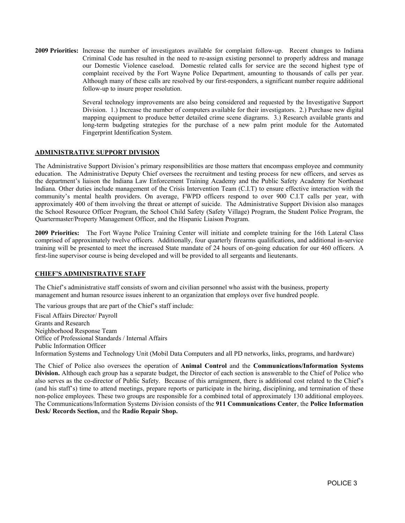2009 Priorities: Increase the number of investigators available for complaint follow-up. Recent changes to Indiana Criminal Code has resulted in the need to re-assign existing personnel to properly address and manage our Domestic Violence caseload. Domestic related calls for service are the second highest type of complaint received by the Fort Wayne Police Department, amounting to thousands of calls per year. Although many of these calls are resolved by our first-responders, a significant number require additional follow-up to insure proper resolution.

> Several technology improvements are also being considered and requested by the Investigative Support Division. 1.) Increase the number of computers available for their investigators. 2.) Purchase new digital mapping equipment to produce better detailed crime scene diagrams. 3.) Research available grants and long-term budgeting strategies for the purchase of a new palm print module for the Automated Fingerprint Identification System.

#### ADMINISTRATIVE SUPPORT DIVISION

The Administrative Support Division's primary responsibilities are those matters that encompass employee and community education. The Administrative Deputy Chief oversees the recruitment and testing process for new officers, and serves as the department's liaison the Indiana Law Enforcement Training Academy and the Public Safety Academy for Northeast Indiana. Other duties include management of the Crisis Intervention Team (C.I.T) to ensure effective interaction with the community's mental health providers. On average, FWPD officers respond to over 900 C.I.T calls per year, with approximately 400 of them involving the threat or attempt of suicide. The Administrative Support Division also manages the School Resource Officer Program, the School Child Safety (Safety Village) Program, the Student Police Program, the Quartermaster/Property Management Officer, and the Hispanic Liaison Program.

2009 Priorities: The Fort Wayne Police Training Center will initiate and complete training for the 16th Lateral Class comprised of approximately twelve officers. Additionally, four quarterly firearms qualifications, and additional in-service training will be presented to meet the increased State mandate of 24 hours of on-going education for our 460 officers. A first-line supervisor course is being developed and will be provided to all sergeants and lieutenants.

#### CHIEF'S ADMINISTRATIVE STAFF

The Chief's administrative staff consists of sworn and civilian personnel who assist with the business, property management and human resource issues inherent to an organization that employs over five hundred people.

The various groups that are part of the Chief's staff include:

Fiscal Affairs Director/ Payroll Grants and Research Neighborhood Response Team Office of Professional Standards / Internal Affairs Public Information Officer Information Systems and Technology Unit (Mobil Data Computers and all PD networks, links, programs, and hardware)

The Chief of Police also oversees the operation of Animal Control and the Communications/Information Systems Division. Although each group has a separate budget, the Director of each section is answerable to the Chief of Police who also serves as the co-director of Public Safety. Because of this arraignment, there is additional cost related to the Chief's (and his staff's) time to attend meetings, prepare reports or participate in the hiring, disciplining, and termination of these non-police employees. These two groups are responsible for a combined total of approximately 130 additional employees. The Communications/Information Systems Division consists of the 911 Communications Center, the Police Information Desk/ Records Section, and the Radio Repair Shop.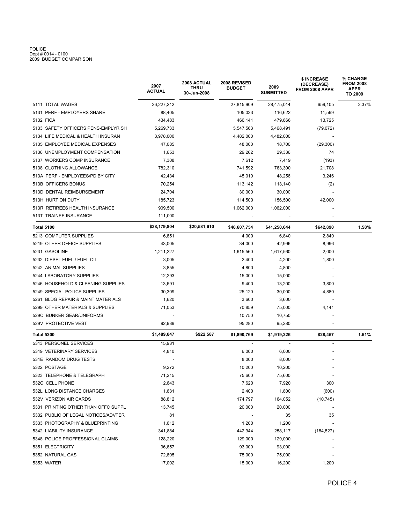# POLICE Dept # 0014 - 0100 2009 BUDGET COMPARISON

|                                     | 2007<br><b>ACTUAL</b> | <b>2008 ACTUAL</b><br>THRU<br>30-Jun-2008 | 2008 REVISED<br><b>BUDGET</b> | 2009<br><b>SUBMITTED</b> | \$ INCREASE<br>(DECREASE)<br>FROM 2008 APPR | % CHANGE<br><b>FROM 2008</b><br><b>APPR</b><br>TO 2009 |  |
|-------------------------------------|-----------------------|-------------------------------------------|-------------------------------|--------------------------|---------------------------------------------|--------------------------------------------------------|--|
| 5111 TOTAL WAGES                    | 26,227,212            |                                           | 27,815,909                    | 28,475,014               | 659,105                                     | 2.37%                                                  |  |
| 5131 PERF - EMPLOYERS SHARE         | 88,405                |                                           | 105,023                       | 116,622                  | 11,599                                      |                                                        |  |
| 5132 FICA                           | 434,483               |                                           | 466,141                       | 479,866                  | 13,725                                      |                                                        |  |
| 5133 SAFETY OFFICERS PENS-EMPLYR SH | 5,269,733             |                                           | 5,547,563                     | 5,468,491                | (79, 072)                                   |                                                        |  |
| 5134 LIFE MEDICAL & HEALTH INSURAN  | 3,978,000             |                                           | 4,482,000                     | 4,482,000                |                                             |                                                        |  |
| 5135 EMPLOYEE MEDICAL EXPENSES      | 47,085                |                                           | 48,000                        | 18,700                   | (29, 300)                                   |                                                        |  |
| 5136 UNEMPLOYMENT COMPENSATION      | 1,653                 |                                           | 29,262                        | 29,336                   | 74                                          |                                                        |  |
| 5137 WORKERS COMP INSURANCE         | 7,308                 |                                           | 7,612                         | 7,419                    | (193)                                       |                                                        |  |
| 5138 CLOTHING ALLOWANCE             | 782,310               |                                           | 741,592                       | 763,300                  | 21,708                                      |                                                        |  |
| 513A PERF - EMPLOYEES/PD BY CITY    | 42,434                |                                           | 45,010                        | 48,256                   | 3,246                                       |                                                        |  |
| 513B OFFICERS BONUS                 | 70,254                |                                           | 113,142                       | 113,140                  | (2)                                         |                                                        |  |
| 513D DENTAL REIMBURSEMENT           | 24,704                |                                           | 30,000                        | 30,000                   |                                             |                                                        |  |
| 513H HURT ON DUTY                   | 185,723               |                                           | 114,500                       | 156,500                  | 42,000                                      |                                                        |  |
| 513R RETIREES HEALTH INSURANCE      | 909,500               |                                           | 1,062,000                     | 1,062,000                |                                             |                                                        |  |
| 513T TRAINEE INSURANCE              | 111,000               |                                           |                               |                          |                                             |                                                        |  |
| <b>Total 5100</b>                   | \$38,179,804          | \$20,581,610                              | \$40,607,754                  | \$41,250,644             | \$642,890                                   | 1.58%                                                  |  |
| 5213 COMPUTER SUPPLIES              | 6,851                 |                                           | 4,000                         | 6,840                    | 2,840                                       |                                                        |  |
| 5219 OTHER OFFICE SUPPLIES          | 43,005                |                                           | 34,000                        | 42,996                   | 8,996                                       |                                                        |  |
| 5231 GASOLINE                       | 1,211,227             |                                           | 1,615,560                     | 1,617,560                | 2,000                                       |                                                        |  |
| 5232 DIESEL FUEL / FUEL OIL         | 3,005                 |                                           | 2,400                         | 4,200                    | 1,800                                       |                                                        |  |
| 5242 ANIMAL SUPPLIES                | 3,855                 |                                           | 4,800                         | 4,800                    |                                             |                                                        |  |
| 5244 LABORATORY SUPPLIES            | 12,293                |                                           | 15,000                        | 15,000                   |                                             |                                                        |  |
| 5246 HOUSEHOLD & CLEANING SUPPLIES  | 13,691                |                                           | 9,400                         | 13,200                   | 3,800                                       |                                                        |  |
| 5249 SPECIAL POLICE SUPPLIES        | 30,309                |                                           | 25,120                        | 30,000                   | 4,880                                       |                                                        |  |
| 5261 BLDG REPAIR & MAINT MATERIALS  | 1,620                 |                                           | 3,600                         | 3,600                    |                                             |                                                        |  |
| 5299 OTHER MATERIALS & SUPPLIES     | 71,053                |                                           | 70,859                        | 75,000                   | 4,141                                       |                                                        |  |
| 529C BUNKER GEAR/UNIFORMS           |                       |                                           | 10,750                        | 10,750                   |                                             |                                                        |  |
| 529V PROTECTIVE VEST                | 92,939                |                                           | 95,280                        | 95,280                   |                                             |                                                        |  |
| Total 5200                          | \$1,489,847           | \$922,587                                 | \$1,890,769                   | \$1,919,226              | \$28,457                                    | 1.51%                                                  |  |
| 5313 PERSONEL SERVICES              | 15,931                |                                           |                               |                          |                                             |                                                        |  |
| 5319 VETERINARY SERVICES            | 4,810                 |                                           | 6,000                         | 6,000                    |                                             |                                                        |  |
| 531E RANDOM DRUG TESTS              |                       |                                           | 8,000                         | 8,000                    |                                             |                                                        |  |
| 5322 POSTAGE                        | 9,272                 |                                           | 10,200                        | 10,200                   |                                             |                                                        |  |
| 5323 TELEPHONE & TELEGRAPH          | 71,215                |                                           | 75,600                        | 75,600                   |                                             |                                                        |  |
| 532C CELL PHONE                     | 2,643                 |                                           | 7,620                         | 7,920                    | 300                                         |                                                        |  |
| 532L LONG DISTANCE CHARGES          | 1,631                 |                                           | 2,400                         | 1,800                    | (600)                                       |                                                        |  |
| 532V VERIZON AIR CARDS              | 88,812                |                                           | 174,797                       | 164,052                  | (10, 745)                                   |                                                        |  |
| 5331 PRINTING OTHER THAN OFFC SUPPL | 13,745                |                                           | 20,000                        | 20,000                   | $\overline{\phantom{a}}$                    |                                                        |  |
| 5332 PUBLIC OF LEGAL NOTICES/ADVTER | 81                    |                                           |                               | 35                       | 35                                          |                                                        |  |
| 5333 PHOTOGRAPHY & BLUEPRINTING     | 1,612                 |                                           | 1,200                         | 1,200                    | $\overline{\phantom{a}}$                    |                                                        |  |
| 5342 LIABILITY INSURANCE            | 341,884               |                                           | 442,944                       | 258,117                  | (184, 827)                                  |                                                        |  |
| 5348 POLICE PROFFESSIONAL CLAIMS    | 128,220               |                                           | 129,000                       | 129,000                  |                                             |                                                        |  |
| 5351 ELECTRICITY                    | 96,657                |                                           | 93,000                        | 93,000                   |                                             |                                                        |  |
| 5352 NATURAL GAS                    | 72,805                |                                           | 75,000                        | 75,000                   |                                             |                                                        |  |
| 5353 WATER                          | 17,002                |                                           | 15,000                        | 16,200                   | 1,200                                       |                                                        |  |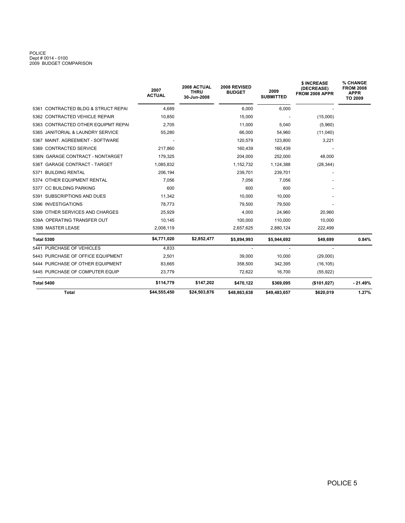# POLICE Dept # 0014 - 0100 2009 BUDGET COMPARISON

|                                     | 2007<br><b>ACTUAL</b> | 2008 ACTUAL<br><b>THRU</b><br>30-Jun-2008 | 2008 REVISED<br><b>BUDGET</b> | 2009<br><b>SUBMITTED</b> | \$ INCREASE<br>(DECREASE)<br>FROM 2008 APPR | % CHANGE<br><b>FROM 2008</b><br><b>APPR</b><br>TO 2009 |
|-------------------------------------|-----------------------|-------------------------------------------|-------------------------------|--------------------------|---------------------------------------------|--------------------------------------------------------|
| 5361 CONTRACTED BLDG & STRUCT REPAI | 4,689                 |                                           | 6,000                         | 6,000                    |                                             |                                                        |
| 5362 CONTRACTED VEHICLE REPAIR      | 10,850                |                                           | 15,000                        |                          | (15,000)                                    |                                                        |
| 5363 CONTRACTED OTHER EQUIPMT REPAI | 2,705                 |                                           | 11,000                        | 5,040                    | (5,960)                                     |                                                        |
| 5365 JANITORIAL & LAUNDRY SERVICE   | 55,280                |                                           | 66,000                        | 54,960                   | (11,040)                                    |                                                        |
| 5367 MAINT, AGREEMENT - SOFTWARE    |                       |                                           | 120,579                       | 123,800                  | 3,221                                       |                                                        |
| 5369 CONTRACTED SERVICE             | 217.860               |                                           | 160,439                       | 160,439                  |                                             |                                                        |
| 536N GARAGE CONTRACT - NONTARGET    | 179,325               |                                           | 204,000                       | 252,000                  | 48,000                                      |                                                        |
| 536T GARAGE CONTRACT - TARGET       | 1,085,832             |                                           | 1,152,732                     | 1,124,388                | (28, 344)                                   |                                                        |
| 5371 BUILDING RENTAL                | 206.194               |                                           | 239,701                       | 239,701                  |                                             |                                                        |
| 5374 OTHER EQUIPMENT RENTAL         | 7,056                 |                                           | 7,056                         | 7,056                    |                                             |                                                        |
| <b>CC BUILDING PARKING</b><br>5377  | 600                   |                                           | 600                           | 600                      |                                             |                                                        |
| 5391 SUBSCRIPTIONS AND DUES         | 11,342                |                                           | 10,000                        | 10,000                   |                                             |                                                        |
| 5396 INVESTIGATIONS                 | 78.773                |                                           | 79,500                        | 79,500                   |                                             |                                                        |
| 5399 OTHER SERVICES AND CHARGES     | 25,929                |                                           | 4,000                         | 24,960                   | 20,960                                      |                                                        |
| 539A OPERATING TRANSFER OUT         | 10,145                |                                           | 100,000                       | 110,000                  | 10,000                                      |                                                        |
| 539B MASTER LEASE                   | 2,008,119             |                                           | 2,657,625                     | 2,880,124                | 222,499                                     |                                                        |
| <b>Total 5300</b>                   | \$4,771,020           | \$2,852,477                               | \$5,894,993                   | \$5,944,692              | \$49,699                                    | 0.84%                                                  |
| 5441 PURCHASE OF VEHICLES           | 4,833                 |                                           | $\overline{\phantom{a}}$      |                          |                                             |                                                        |
| 5443 PURCHASE OF OFFICE EQUIPMENT   | 2.501                 |                                           | 39,000                        | 10,000                   | (29,000)                                    |                                                        |
| 5444 PURCHASE OF OTHER EQUIPMENT    | 83,665                |                                           | 358,500                       | 342,395                  | (16, 105)                                   |                                                        |
| 5445 PURCHASE OF COMPUTER EQUIP     | 23,779                |                                           | 72,622                        | 16,700                   | (55, 922)                                   |                                                        |
| <b>Total 5400</b>                   | \$114,779             | \$147,202                                 | \$470,122                     | \$369,095                | (\$101,027)                                 | $-21.49%$                                              |
| <b>Total</b>                        | \$44,555,450          | \$24,503,876                              | \$48,863,638                  | \$49,483,657             | \$620,019                                   | 1.27%                                                  |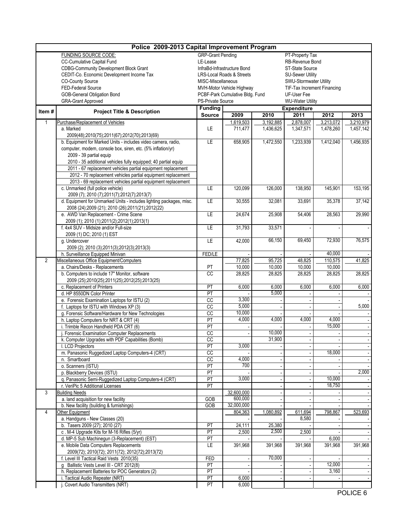| Police 2009-2013 Capital Improvement Program |                                                                                        |                                             |                                      |                 |                                        |           |           |  |  |  |  |
|----------------------------------------------|----------------------------------------------------------------------------------------|---------------------------------------------|--------------------------------------|-----------------|----------------------------------------|-----------|-----------|--|--|--|--|
|                                              | FUNDING SOURCE CODE:                                                                   | <b>GRP-Grant Pending</b><br>PT-Property Tax |                                      |                 |                                        |           |           |  |  |  |  |
|                                              | <b>CC-Cumulative Capital Fund</b>                                                      | LE-Lease                                    |                                      |                 | RB-Revenue Bond                        |           |           |  |  |  |  |
|                                              | <b>CDBG-Community Development Block Grant</b>                                          |                                             | InfraBd-Infrastructure Bond          |                 | ST-State Source                        |           |           |  |  |  |  |
|                                              | CEDIT-Co. Economic Development Income Tax                                              |                                             | <b>LRS-Local Roads &amp; Streets</b> |                 | <b>SU-Sewer Utility</b>                |           |           |  |  |  |  |
|                                              | <b>CO-County Source</b>                                                                | MISC-Miscellaneous                          |                                      |                 | SWU-Stormwater Utility                 |           |           |  |  |  |  |
|                                              | FED-Federal Source                                                                     |                                             | MVH-Motor Vehicle Highway            |                 | TIF-Tax Increment Financing            |           |           |  |  |  |  |
|                                              | <b>GOB-General Obligation Bond</b>                                                     |                                             | PCBF-Park Cumulative Bldg. Fund      |                 | UF-User Fee<br><b>WU-Water Utility</b> |           |           |  |  |  |  |
|                                              | <b>GRA-Grant Approved</b>                                                              | PS-Private Source                           |                                      |                 |                                        |           |           |  |  |  |  |
| Item#                                        | <b>Project Title &amp; Description</b>                                                 | <b>Funding</b><br><b>Source</b>             | 2009                                 | 2010            | Expenditure<br>2011                    | 2012      | 2013      |  |  |  |  |
| 1                                            | Purchase/Replacement of Vehicles                                                       |                                             | 1,619,503                            | 3,192,885       | 2,878,007                              | 3,213,072 | 3,210,979 |  |  |  |  |
|                                              | a. Marked                                                                              | LE                                          | 711,477                              | 1,436,625       | 1,347,571                              | 1,478,260 | 1,457,142 |  |  |  |  |
|                                              | 2009(48);2010(75);2011(67);2012(70);2013(69)                                           |                                             |                                      |                 |                                        |           |           |  |  |  |  |
|                                              | b. Equipment for Marked Units - includes video camera, radio,                          | LE                                          | 658,905                              | 1,472,550       | 1,233,939                              | 1,412,040 | 1,456,935 |  |  |  |  |
|                                              | computer, modem, console box, siren, etc. (5% inflation/yr)                            |                                             |                                      |                 |                                        |           |           |  |  |  |  |
|                                              | 2009 - 39 partial equip                                                                |                                             |                                      |                 |                                        |           |           |  |  |  |  |
|                                              | 2010 - 35 additional vehicles fully equipped; 40 partial equip                         |                                             |                                      |                 |                                        |           |           |  |  |  |  |
|                                              | 2011 - 67 replacement vehicles partial equipment replacement                           |                                             |                                      |                 |                                        |           |           |  |  |  |  |
|                                              | 2012 - 70 replacement vehicles partial equipment replacement                           |                                             |                                      |                 |                                        |           |           |  |  |  |  |
|                                              | 2013 - 69 replacement vehicles partial equipment replacement                           |                                             |                                      |                 |                                        |           |           |  |  |  |  |
|                                              | c. Unmarked (full police vehicle)                                                      | LE                                          | 120,099                              | 126,000         | 138,950                                | 145,901   | 153,195   |  |  |  |  |
|                                              | 2009 (7); 2010 (7); 2011 (7); 2012 (7); 2013 (7)                                       |                                             |                                      |                 |                                        |           |           |  |  |  |  |
|                                              | d. Equipment for Unmarked Units - includes lighting packages, misc.                    | LE                                          | 30,555                               | 32,081          | 33,691                                 | 35,378    | 37,142    |  |  |  |  |
|                                              | 2008 (24);2009 (21); 2010 (26);2011(21);2012(22)                                       |                                             |                                      |                 |                                        |           |           |  |  |  |  |
|                                              | e. AWD Van Replacement - Crime Scene                                                   | LE                                          | 24,674                               | 25,908          | 54,406                                 | 28,563    | 29,990    |  |  |  |  |
|                                              | 2009 (1); 2010 (1); 2011(2); 2012(1); 2013(1)<br>f. 4x4 SUV - Midsize and/or Full-size | LE                                          | 31,793                               | 33,571          |                                        |           |           |  |  |  |  |
|                                              | 2009 (1) DC; 2010 (1) EST                                                              |                                             |                                      |                 |                                        |           |           |  |  |  |  |
|                                              | g. Undercover                                                                          | LE                                          | 42,000                               | 66,150          | 69,450                                 | 72,930    | 76,575    |  |  |  |  |
|                                              | 2009 (2); 2010 (3); 2011(3); 2012(3); 2013(3)                                          |                                             |                                      |                 |                                        |           |           |  |  |  |  |
|                                              | h. Surveillance Equipped Minivan                                                       | FED/LE                                      |                                      |                 |                                        | 40,000    |           |  |  |  |  |
| $\overline{2}$                               | Miscellaneous Office Equipment/Computers                                               |                                             | 77,825                               | 95,725          | 48,825                                 | 110,575   | 41,825    |  |  |  |  |
|                                              | a. Chairs/Desks - Replacements                                                         |                                             | 10,000                               | 10,000          | 10,000                                 | 10,000    |           |  |  |  |  |
|                                              | b. Computers to include 17" Monitor, software                                          | PT<br>$\overline{cc}$                       | 28,825                               | 28,825          | 28,825                                 | 28,825    | 28,825    |  |  |  |  |
|                                              | 2009 (25);2010(25);2011(25);2012(25);2013(25)                                          |                                             |                                      |                 |                                        |           |           |  |  |  |  |
|                                              | c. Replacement of Printers                                                             |                                             | 6,000                                | 6,000           | 6,000                                  | 6,000     | 6,000     |  |  |  |  |
|                                              | d. HP 8550DN Color Printer                                                             | PT                                          |                                      | 5,000           |                                        |           |           |  |  |  |  |
|                                              | e. Forensic Examination Laptops for ISTU (2)                                           | cc                                          | 3,300                                |                 |                                        |           |           |  |  |  |  |
|                                              | f. Laptops for ISTU with Windows XP (3)                                                | $\overline{cc}$                             | 5,000<br>10,000                      |                 |                                        |           | 5,000     |  |  |  |  |
|                                              | g. Forensic Software/Hardware for New Technologies                                     | $\overline{cc}$                             | 4,000                                | 4,000           | 4,000                                  | 4,000     |           |  |  |  |  |
|                                              | h. Laptop Computers for NRT & CRT (4)<br>i. Trimble Recon Handheld PDA CRT (6)         | PT<br>PT                                    |                                      |                 |                                        | 15,000    |           |  |  |  |  |
|                                              | . Forensic Examination Computer Replacements                                           | cc                                          |                                      | 10,000          |                                        |           |           |  |  |  |  |
|                                              | k. Computer Upgrades with PDF Capabilities (Bomb)                                      | $\overline{cc}$                             |                                      | 31,900          |                                        |           |           |  |  |  |  |
|                                              | I. LCD Projectors                                                                      | PT                                          | 3,000                                |                 |                                        |           |           |  |  |  |  |
|                                              | m. Panasonic Ruggedized Laptop Computers-4 (CRT)                                       | cc                                          |                                      |                 |                                        | 18,000    |           |  |  |  |  |
|                                              | n. Smartboard                                                                          | cc                                          | 4,000                                |                 |                                        |           |           |  |  |  |  |
|                                              | o. Scanners (ISTU)                                                                     | PT                                          | 700                                  |                 |                                        |           |           |  |  |  |  |
|                                              | p. Blackberry Devices (ISTU)                                                           | PT                                          |                                      |                 |                                        |           | 2,000     |  |  |  |  |
|                                              | q. Panasonic Semi-Ruggedized Laptop Computers-4 (CRT)                                  | PT                                          | 3,000                                |                 |                                        | 10,000    |           |  |  |  |  |
|                                              | r. VeriPic 5 Additional Licenses                                                       | PT                                          |                                      |                 |                                        | 18,750    |           |  |  |  |  |
| 3                                            | <b>Building Needs</b>                                                                  |                                             | 32.600.000                           |                 |                                        |           |           |  |  |  |  |
|                                              | a. land acquisition for new facility                                                   | GOB                                         | 600,000                              |                 |                                        |           |           |  |  |  |  |
|                                              | b. New facility (building & furnishings)                                               | GOB                                         | 32,000,000                           |                 |                                        |           |           |  |  |  |  |
| 4                                            | Other Equipment                                                                        |                                             | 804,363                              | 1,080,892       | 611,694<br>8,580                       | 798,867   | 523,693   |  |  |  |  |
|                                              | a. Handguns - New Classes (20)                                                         |                                             |                                      |                 |                                        |           |           |  |  |  |  |
|                                              | b. Tasers 2009 (27); 2010 (27)<br>c. M-4 Upgrade Kits for M-16 Rifles (5/yr)           | PT<br>PT                                    | 24,111<br>2,500                      | 25,380<br>2,500 | 2,500                                  |           |           |  |  |  |  |
|                                              | d. MP-5 Sub Machinegun (3-Replacement) (EST)                                           | PT                                          |                                      |                 |                                        | 6,000     |           |  |  |  |  |
|                                              | e. Mobile Data Computers Replacements                                                  | LE                                          | 391,968                              | 391,968         | 391,968                                | 391,968   | 391,968   |  |  |  |  |
|                                              | 2009(72); 2010(72); 2011(72); 2012(72); 2013(72)                                       |                                             |                                      |                 |                                        |           |           |  |  |  |  |
|                                              | f. Level III Tactical Raid Vests 2010(35)                                              | FED                                         |                                      | 70,000          |                                        |           |           |  |  |  |  |
|                                              | g Ballistic Vests Level III - CRT 2012(8)                                              | PT                                          |                                      |                 |                                        | 12,000    |           |  |  |  |  |
|                                              | h. Replacement Batteries for POC Generators (2)                                        | PT                                          |                                      |                 |                                        | 3,160     |           |  |  |  |  |
|                                              | i. Tactical Audio Repeater (NRT)                                                       | PT                                          | 6,000                                |                 |                                        |           |           |  |  |  |  |
|                                              | j. Covert Audio Transmitters (NRT)                                                     | PT                                          | 6,000                                |                 |                                        |           |           |  |  |  |  |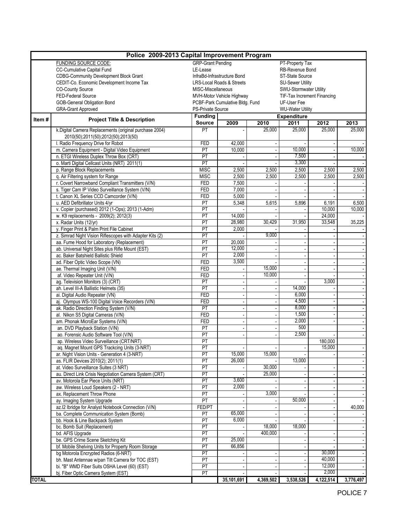| Police 2009-2013 Capital Improvement Program |                                                                                                                               |                          |                                             |                          |                             |                 |           |  |  |  |  |  |
|----------------------------------------------|-------------------------------------------------------------------------------------------------------------------------------|--------------------------|---------------------------------------------|--------------------------|-----------------------------|-----------------|-----------|--|--|--|--|--|
|                                              | FUNDING SOURCE CODE:                                                                                                          |                          | <b>GRP-Grant Pending</b><br>PT-Property Tax |                          |                             |                 |           |  |  |  |  |  |
|                                              | CC-Cumulative Capital Fund                                                                                                    | LE-Lease                 |                                             |                          | RB-Revenue Bond             |                 |           |  |  |  |  |  |
|                                              | <b>CDBG-Community Development Block Grant</b>                                                                                 |                          | InfraBd-Infrastructure Bond                 |                          | <b>ST-State Source</b>      |                 |           |  |  |  |  |  |
|                                              | CEDIT-Co. Economic Development Income Tax                                                                                     |                          | LRS-Local Roads & Streets                   |                          | <b>SU-Sewer Utility</b>     |                 |           |  |  |  |  |  |
|                                              | <b>CO-County Source</b>                                                                                                       | MISC-Miscellaneous       |                                             |                          | SWU-Stormwater Utility      |                 |           |  |  |  |  |  |
|                                              | FED-Federal Source                                                                                                            |                          | MVH-Motor Vehicle Highway                   |                          | TIF-Tax Increment Financing |                 |           |  |  |  |  |  |
|                                              | GOB-General Obligation Bond                                                                                                   |                          | PCBF-Park Cumulative Bldg. Fund             |                          | UF-User Fee                 |                 |           |  |  |  |  |  |
|                                              | <b>GRA-Grant Approved</b>                                                                                                     | PS-Private Source        |                                             |                          | <b>WU-Water Utility</b>     |                 |           |  |  |  |  |  |
| Item#                                        | <b>Project Title &amp; Description</b>                                                                                        | <b>Funding</b>           |                                             | <b>Expenditure</b>       |                             |                 |           |  |  |  |  |  |
|                                              |                                                                                                                               | <b>Source</b>            | 2009                                        | 2010                     | 2011                        | 2012            | 2013      |  |  |  |  |  |
|                                              | k.Digital Camera Replacements (original purchase 2004)                                                                        | PT                       |                                             | 25,000                   | 25,000                      | 25,000          | 25,000    |  |  |  |  |  |
|                                              | 2010(50);2011(50);2012(50);2013(50)                                                                                           |                          |                                             |                          |                             |                 |           |  |  |  |  |  |
|                                              | I. Radio Frequency Drive for Robot<br>m. Camera Equipment - Digital Video Equipment                                           | FED<br>PT                | 42,000<br>10,000                            |                          | 10,000                      |                 | 10,000    |  |  |  |  |  |
|                                              | n. ETGI Wireless Duplex Throw Box (CRT)                                                                                       | $\overline{PT}$          |                                             |                          | 7,500                       |                 |           |  |  |  |  |  |
|                                              |                                                                                                                               | PT                       |                                             |                          | 3,300                       |                 |           |  |  |  |  |  |
|                                              | o. Marti Digital Cellcast Units (NRT) 2011(1)                                                                                 | <b>MISC</b>              | 2,500                                       |                          | 2,500                       |                 | 2,500     |  |  |  |  |  |
|                                              | p. Range Block Replacements                                                                                                   | <b>MISC</b>              | 2,500                                       | 2,500                    |                             | 2,500<br>2,500  | 2,500     |  |  |  |  |  |
|                                              | q. Air Filtering system for Range                                                                                             |                          |                                             | 2,500                    | 2,500                       |                 |           |  |  |  |  |  |
|                                              | r. Covert Narrowband Compliant Transmitters (V/N)<br>s. Tiger Cam IP Video Surveillance System (V/N)                          | <b>FED</b><br><b>FED</b> | 7,500<br>7,000                              |                          |                             |                 |           |  |  |  |  |  |
|                                              | t. Canon XL Series CCD Camcorder (V/N)                                                                                        | <b>FED</b>               | 5,000                                       |                          |                             |                 |           |  |  |  |  |  |
|                                              | u. AED Defibrillator Units 4/yr                                                                                               | PT                       | 5,348                                       | 5,615                    | 5,896                       | 6,191           | 6,500     |  |  |  |  |  |
|                                              | v. Copier (purchased) 2012 (1-Ops); 2013 (1-Adm)                                                                              | PT                       |                                             |                          |                             | 10,000          | 10,000    |  |  |  |  |  |
|                                              | w. K9 replacements - 2009(2); 2012(3)                                                                                         | PT                       | 14,000                                      |                          |                             | 24,000          |           |  |  |  |  |  |
|                                              | x. Radar Units (12/yr)                                                                                                        | PT                       | 28,980                                      | 30,429                   | 31,950                      | 33,548          | 35,225    |  |  |  |  |  |
|                                              | y. Finger Print & Palm Print File Cabinet                                                                                     | PT                       | 2,000                                       |                          |                             |                 |           |  |  |  |  |  |
|                                              | z. Simrad Night Vision Riflescopes with Adapter Kits (2)                                                                      | PT                       |                                             | 9,000                    |                             |                 |           |  |  |  |  |  |
|                                              | aa. Fume Hood for Laboratory (Replacement)                                                                                    | PT                       | 20,000                                      |                          |                             |                 |           |  |  |  |  |  |
|                                              | ab. Universal Night Sites plus Rifle Mount (EST)                                                                              | PT                       | 12,000                                      |                          |                             |                 |           |  |  |  |  |  |
|                                              | ac. Baker Batshield Ballistic Shield                                                                                          | $\overline{PT}$          | 2,000                                       |                          |                             |                 |           |  |  |  |  |  |
|                                              | ad. Fiber Optic Video Scope (VN)                                                                                              | <b>FED</b>               | 3,500                                       |                          |                             |                 |           |  |  |  |  |  |
|                                              | ae. Thermal Imaging Unit (V/N)                                                                                                | <b>FED</b>               |                                             | 15,000                   |                             |                 |           |  |  |  |  |  |
|                                              | af. Video Repeater Unit (V/N)                                                                                                 | <b>FED</b>               |                                             | 10,000                   |                             |                 |           |  |  |  |  |  |
|                                              | ag. Television Monitors (3) (CRT)                                                                                             | PT                       |                                             |                          |                             | 3,000           |           |  |  |  |  |  |
|                                              | ah. Level III-A Ballistic Helmets (35)                                                                                        | PT                       |                                             |                          | 14,000                      |                 |           |  |  |  |  |  |
|                                              | ai. Digital Audio Repeater (VN)                                                                                               | <b>FED</b>               |                                             |                          | 6,000                       |                 |           |  |  |  |  |  |
|                                              | aj. Olympus WS-100 Digital Voice Recorders (V/N)                                                                              | <b>FED</b>               |                                             |                          | 4,500                       |                 |           |  |  |  |  |  |
|                                              | ak. Radio Direction Finding System (V/N)                                                                                      | PT                       |                                             | $\overline{\phantom{a}}$ | 8,000                       |                 |           |  |  |  |  |  |
|                                              | al. Nikon S5 Digital Cameras (V/N)                                                                                            | FED                      |                                             |                          | 1,500                       |                 |           |  |  |  |  |  |
|                                              | am. Phonak MicroEar Systems (V/N)                                                                                             | <b>FED</b>               |                                             |                          | 2,000                       |                 |           |  |  |  |  |  |
|                                              | an. DVD Playback Station (V/N)                                                                                                | PT                       |                                             |                          | 500                         |                 |           |  |  |  |  |  |
|                                              | ao. Forensic Audio Software Tool (V/N)                                                                                        | PT                       |                                             |                          | 2,500                       |                 |           |  |  |  |  |  |
|                                              | ap. Wireless Video Surveillance (CRT/NRT)                                                                                     | PT                       |                                             |                          |                             | 180,000         |           |  |  |  |  |  |
|                                              | aq. Magnet Mount GPS Trackcing Units (3-NRT)                                                                                  | PT                       |                                             |                          |                             | 15,000          |           |  |  |  |  |  |
|                                              | ar. Night Vision Units - Generation 4 (3-NRT)                                                                                 | PT                       | 15,000                                      | 15,000                   |                             |                 |           |  |  |  |  |  |
|                                              | as. FLIR Devices 2010(2); 2011(1)                                                                                             | PT                       | 26,000                                      |                          | 13,000                      |                 |           |  |  |  |  |  |
|                                              | at. Video Surveillance Suites (3 NRT)                                                                                         | PT                       |                                             | 30,000                   |                             |                 |           |  |  |  |  |  |
|                                              | au. Direct Link Crisis Negotiation Camera System (CRT)                                                                        | PT                       |                                             | 25.000                   |                             |                 |           |  |  |  |  |  |
|                                              | av. Motorola Ear Piece Units (NRT)                                                                                            | PT                       | 3,600                                       |                          |                             |                 |           |  |  |  |  |  |
|                                              | aw. Wireless Loud Speakers (2 - NRT)                                                                                          | PT                       | 2,000                                       |                          |                             |                 |           |  |  |  |  |  |
|                                              | ax. Replacement Throw Phone                                                                                                   | PT<br>PT                 |                                             | 3,000                    |                             |                 |           |  |  |  |  |  |
|                                              | ay. Imaging System Upgrade<br>az.12 Ibridge for Analyst Notebook Connection (V/N)<br>ba. Complete Communication System (Bomb) |                          |                                             |                          | 50,000                      |                 |           |  |  |  |  |  |
|                                              |                                                                                                                               |                          |                                             |                          |                             |                 | 40,000    |  |  |  |  |  |
|                                              |                                                                                                                               |                          | 65,000                                      |                          |                             |                 |           |  |  |  |  |  |
|                                              | bb. Hook & Line Backpack System                                                                                               | PT                       | 6,000                                       |                          |                             |                 |           |  |  |  |  |  |
|                                              | bc. Bomb Suit (Replacement)                                                                                                   | PT                       |                                             | 18,000                   | 18,000                      |                 |           |  |  |  |  |  |
|                                              | bd. AFIS Upgrade                                                                                                              | PT                       |                                             | 400,000                  |                             |                 |           |  |  |  |  |  |
|                                              | be. GPS Crime Scene Sketching Kit                                                                                             | PT                       | 25,000                                      |                          |                             |                 |           |  |  |  |  |  |
|                                              | bf. Mobile Shelving Units for Property Room Storage                                                                           | PT                       | 66,856                                      |                          |                             |                 |           |  |  |  |  |  |
|                                              | bg Motorola Encrypted Radios (6-NRT)                                                                                          | PT                       |                                             |                          |                             | 30,000          |           |  |  |  |  |  |
|                                              | bh. Mast Antennae w/pan Tilt Camera for TOC (EST)                                                                             | PT                       |                                             |                          |                             | 40,000          |           |  |  |  |  |  |
|                                              | bi. "B" WMD Fiber Suits OSHA Level (60) (EST)                                                                                 | PT                       |                                             |                          |                             | 12,000<br>2,000 |           |  |  |  |  |  |
| <b>TOTAL</b>                                 | bj. Fiber Optic Camera System (EST)                                                                                           | PT                       | 35,101,691                                  | 4,369,502                |                             | 4,122,514       | 3,776,497 |  |  |  |  |  |
|                                              |                                                                                                                               |                          |                                             |                          | 3,538,526                   |                 |           |  |  |  |  |  |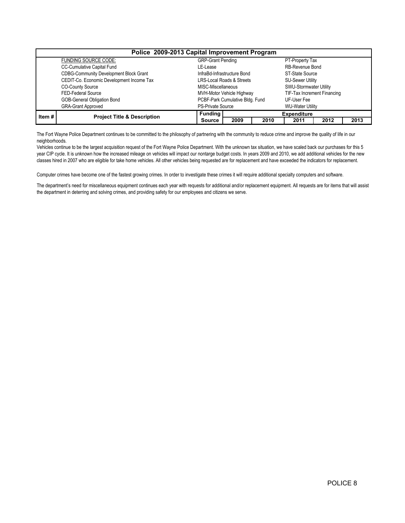|       | Police 2009-2013 Capital Improvement Program  |                                 |      |      |                         |                             |      |  |  |  |  |  |
|-------|-----------------------------------------------|---------------------------------|------|------|-------------------------|-----------------------------|------|--|--|--|--|--|
|       | <b>FUNDING SOURCE CODE:</b>                   | <b>GRP-Grant Pending</b>        |      |      | PT-Property Tax         |                             |      |  |  |  |  |  |
|       | <b>CC-Cumulative Capital Fund</b>             | LE-Lease                        |      |      | RB-Revenue Bond         |                             |      |  |  |  |  |  |
|       | <b>CDBG-Community Development Block Grant</b> | InfraBd-Infrastructure Bond     |      |      |                         | ST-State Source             |      |  |  |  |  |  |
|       | CEDIT-Co. Economic Development Income Tax     | LRS-Local Roads & Streets       |      |      | <b>SU-Sewer Utility</b> |                             |      |  |  |  |  |  |
|       | <b>CO-County Source</b>                       | MISC-Miscellaneous              |      |      | SWU-Stormwater Utility  |                             |      |  |  |  |  |  |
|       | FED-Federal Source                            | MVH-Motor Vehicle Highway       |      |      |                         | TIF-Tax Increment Financing |      |  |  |  |  |  |
|       | GOB-General Obligation Bond                   | PCBF-Park Cumulative Bldg. Fund |      |      | UF-User Fee             |                             |      |  |  |  |  |  |
|       | <b>GRA-Grant Approved</b>                     | <b>PS-Private Source</b>        |      |      | <b>WU-Water Utility</b> |                             |      |  |  |  |  |  |
| Item# | <b>Project Title &amp; Description</b>        | Funding                         |      |      | <b>Expenditure</b>      |                             |      |  |  |  |  |  |
|       |                                               | Source                          | 2009 | 2010 | 2011                    | 2012                        | 2013 |  |  |  |  |  |

The Fort Wayne Police Department continues to be committed to the philosophy of partnering with the community to reduce crime and improve the quality of life in our neighborhoods.

Vehicles continue to be the largest acquisition request of the Fort Wayne Police Department. With the unknown tax situation, we have scaled back our purchases for this 5 year CIP cycle. It is unknown how the increased mileage on vehicles will impact our nontarge budget costs. In years 2009 and 2010, we add additional vehicles for the new classes hired in 2007 who are eligible for take home vehicles. All other vehicles being requested are for replacement and have exceeded the indicators for replacement.

Computer crimes have become one of the fastest growing crimes. In order to investigate these crimes it will require additional specialty computers and software.

The department's need for miscellaneous equipment continues each year with requests for additional and/or replacement equipment. All requests are for items that will assist the department in deterring and solving crimes, and providing safety for our employees and citizens we serve.